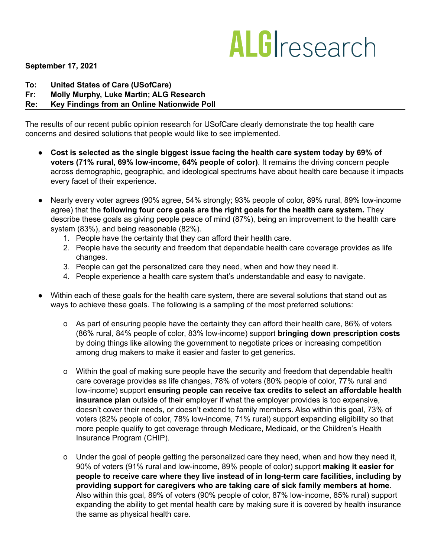

**September 17, 2021**

**To: United States of Care (USofCare)**

**Fr: Molly Murphy, Luke Martin; ALG Research**

**Re: Key Findings from an Online Nationwide Poll**

The results of our recent public opinion research for USofCare clearly demonstrate the top health care concerns and desired solutions that people would like to see implemented.

- **Cost is selected as the single biggest issue facing the health care system today by 69% of voters (71% rural, 69% low-income, 64% people of color)**. It remains the driving concern people across demographic, geographic, and ideological spectrums have about health care because it impacts every facet of their experience.
- Nearly every voter agrees (90% agree, 54% strongly; 93% people of color, 89% rural, 89% low-income agree) that the **following four core goals are the right goals for the health care system.** They describe these goals as giving people peace of mind (87%), being an improvement to the health care system (83%), and being reasonable (82%).
	- 1. People have the certainty that they can afford their health care.
	- 2. People have the security and freedom that dependable health care coverage provides as life changes.
	- 3. People can get the personalized care they need, when and how they need it.
	- 4. People experience a health care system that's understandable and easy to navigate.
- Within each of these goals for the health care system, there are several solutions that stand out as ways to achieve these goals. The following is a sampling of the most preferred solutions:
	- o As part of ensuring people have the certainty they can afford their health care, 86% of voters (86% rural, 84% people of color, 83% low-income) support **bringing down prescription costs** by doing things like allowing the government to negotiate prices or increasing competition among drug makers to make it easier and faster to get generics.
	- o Within the goal of making sure people have the security and freedom that dependable health care coverage provides as life changes, 78% of voters (80% people of color, 77% rural and low-income) support **ensuring people can receive tax credits to select an affordable health insurance plan** outside of their employer if what the employer provides is too expensive, doesn't cover their needs, or doesn't extend to family members. Also within this goal, 73% of voters (82% people of color, 78% low-income, 71% rural) support expanding eligibility so that more people qualify to get coverage through Medicare, Medicaid, or the Children's Health Insurance Program (CHIP).
	- o Under the goal of people getting the personalized care they need, when and how they need it, 90% of voters (91% rural and low-income, 89% people of color) support **making it easier for people to receive care where they live instead of in long-term care facilities, including by providing support for caregivers who are taking care of sick family members at home**. Also within this goal, 89% of voters (90% people of color, 87% low-income, 85% rural) support expanding the ability to get mental health care by making sure it is covered by health insurance the same as physical health care.